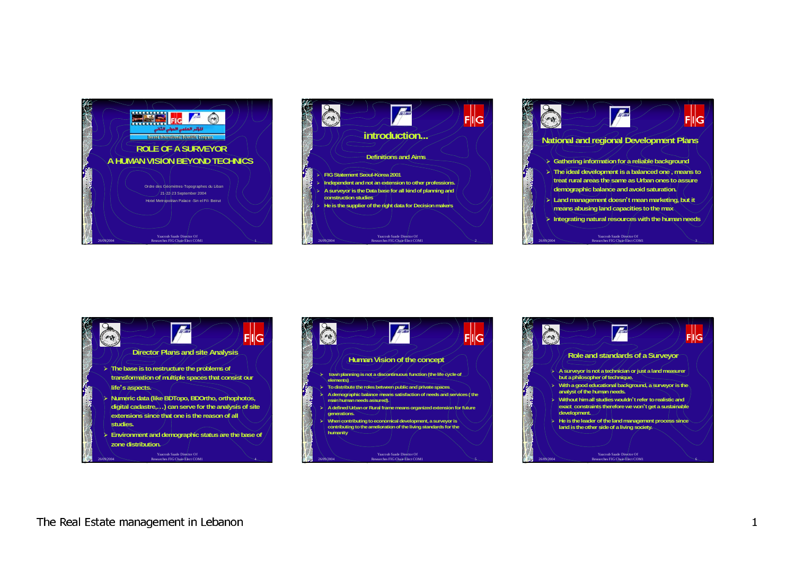